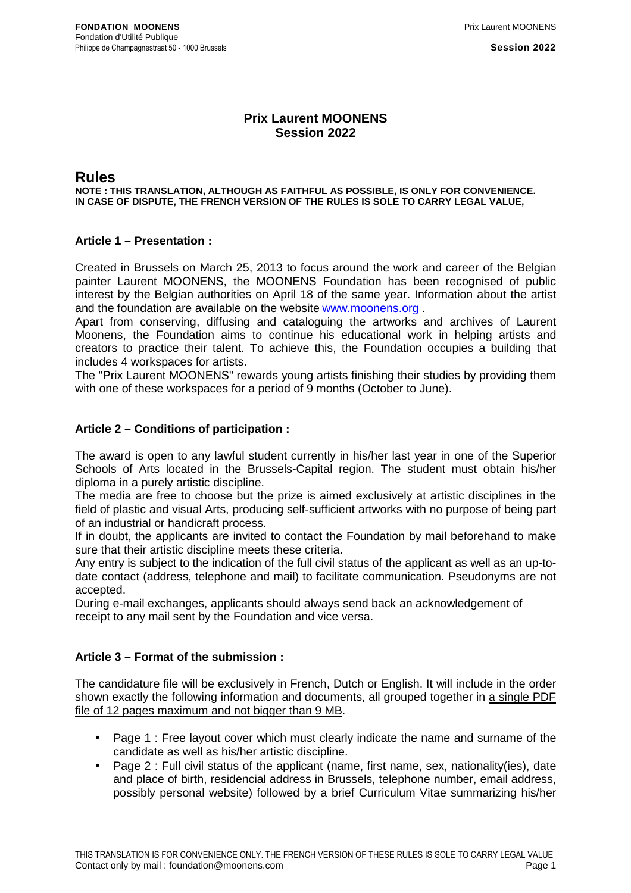# **Prix Laurent MOONENS Session 2022**

# **Rules**

**NOTE : THIS TRANSLATION, ALTHOUGH AS FAITHFUL AS POSSIBLE, IS ONLY FOR CONVENIENCE. IN CASE OF DISPUTE, THE FRENCH VERSION OF THE RULES IS SOLE TO CARRY LEGAL VALUE,** 

# **Article 1 – Presentation :**

Created in Brussels on March 25, 2013 to focus around the work and career of the Belgian painter Laurent MOONENS, the MOONENS Foundation has been recognised of public interest by the Belgian authorities on April 18 of the same year. Information about the artist and the foundation are available on the website www.moonens.org .

Apart from conserving, diffusing and cataloguing the artworks and archives of Laurent Moonens, the Foundation aims to continue his educational work in helping artists and creators to practice their talent. To achieve this, the Foundation occupies a building that includes 4 workspaces for artists.

The "Prix Laurent MOONENS" rewards young artists finishing their studies by providing them with one of these workspaces for a period of 9 months (October to June).

# **Article 2 – Conditions of participation :**

The award is open to any lawful student currently in his/her last year in one of the Superior Schools of Arts located in the Brussels-Capital region. The student must obtain his/her diploma in a purely artistic discipline.

The media are free to choose but the prize is aimed exclusively at artistic disciplines in the field of plastic and visual Arts, producing self-sufficient artworks with no purpose of being part of an industrial or handicraft process.

If in doubt, the applicants are invited to contact the Foundation by mail beforehand to make sure that their artistic discipline meets these criteria.

Any entry is subject to the indication of the full civil status of the applicant as well as an up-todate contact (address, telephone and mail) to facilitate communication. Pseudonyms are not accepted.

During e-mail exchanges, applicants should always send back an acknowledgement of receipt to any mail sent by the Foundation and vice versa.

## **Article 3 – Format of the submission :**

The candidature file will be exclusively in French, Dutch or English. It will include in the order shown exactly the following information and documents, all grouped together in a single PDF file of 12 pages maximum and not bigger than 9 MB.

- Page 1 : Free layout cover which must clearly indicate the name and surname of the candidate as well as his/her artistic discipline.
- Page 2 : Full civil status of the applicant (name, first name, sex, nationality(ies), date and place of birth, residencial address in Brussels, telephone number, email address, possibly personal website) followed by a brief Curriculum Vitae summarizing his/her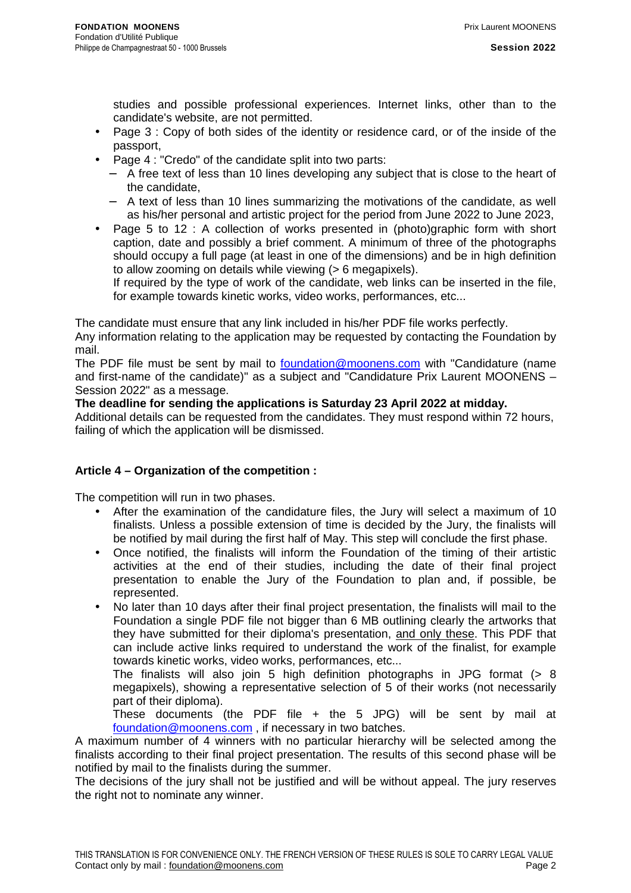studies and possible professional experiences. Internet links, other than to the candidate's website, are not permitted.

- Page 3 : Copy of both sides of the identity or residence card, or of the inside of the passport,
- Page 4 : "Credo" of the candidate split into two parts:
	- − A free text of less than 10 lines developing any subject that is close to the heart of the candidate,
	- − A text of less than 10 lines summarizing the motivations of the candidate, as well as his/her personal and artistic project for the period from June 2022 to June 2023,
- Page 5 to 12 : A collection of works presented in (photo)graphic form with short caption, date and possibly a brief comment. A minimum of three of the photographs should occupy a full page (at least in one of the dimensions) and be in high definition to allow zooming on details while viewing (> 6 megapixels).

If required by the type of work of the candidate, web links can be inserted in the file, for example towards kinetic works, video works, performances, etc...

The candidate must ensure that any link included in his/her PDF file works perfectly.

Any information relating to the application may be requested by contacting the Foundation by mail.

The PDF file must be sent by mail to foundation@moonens.com with "Candidature (name and first-name of the candidate)" as a subject and "Candidature Prix Laurent MOONENS – Session 2022" as a message.

#### **The deadline for sending the applications is Saturday 23 April 2022 at midday.**

Additional details can be requested from the candidates. They must respond within 72 hours, failing of which the application will be dismissed.

## **Article 4 – Organization of the competition :**

The competition will run in two phases.

- After the examination of the candidature files, the Jury will select a maximum of 10 finalists. Unless a possible extension of time is decided by the Jury, the finalists will be notified by mail during the first half of May. This step will conclude the first phase.
- Once notified, the finalists will inform the Foundation of the timing of their artistic activities at the end of their studies, including the date of their final project presentation to enable the Jury of the Foundation to plan and, if possible, be represented.
- No later than 10 days after their final project presentation, the finalists will mail to the Foundation a single PDF file not bigger than 6 MB outlining clearly the artworks that they have submitted for their diploma's presentation, and only these. This PDF that can include active links required to understand the work of the finalist, for example towards kinetic works, video works, performances, etc...

The finalists will also join 5 high definition photographs in JPG format (> 8 megapixels), showing a representative selection of 5 of their works (not necessarily part of their diploma).

These documents (the PDF file + the 5 JPG) will be sent by mail at foundation@moonens.com , if necessary in two batches.

A maximum number of 4 winners with no particular hierarchy will be selected among the finalists according to their final project presentation. The results of this second phase will be notified by mail to the finalists during the summer.

The decisions of the jury shall not be justified and will be without appeal. The jury reserves the right not to nominate any winner.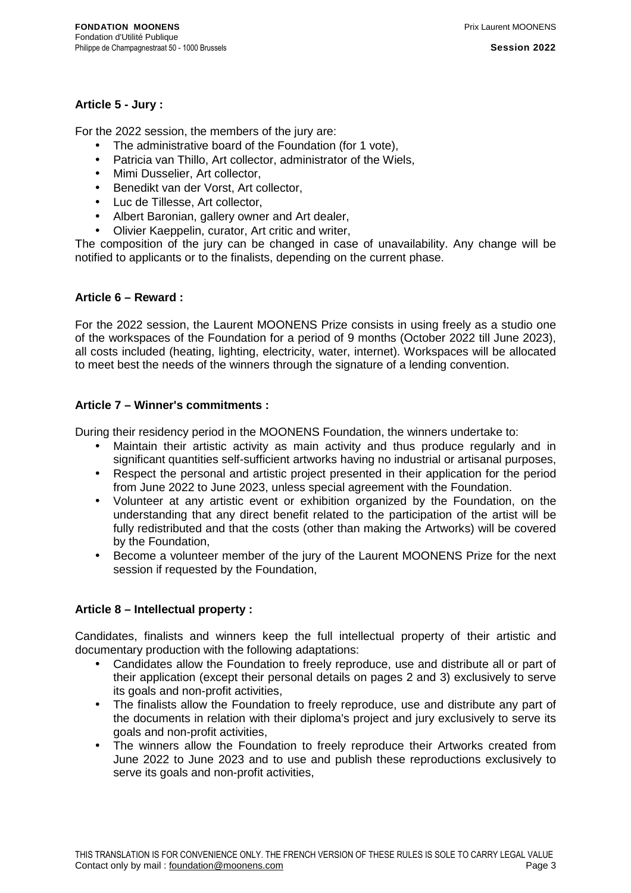## **Article 5 - Jury :**

For the 2022 session, the members of the jury are:

- The administrative board of the Foundation (for 1 vote),
- Patricia van Thillo, Art collector, administrator of the Wiels,
- Mimi Dusselier, Art collector,
- Benedikt van der Vorst, Art collector,
- Luc de Tillesse, Art collector,
- Albert Baronian, gallery owner and Art dealer,
- Olivier Kaeppelin, curator, Art critic and writer,

The composition of the jury can be changed in case of unavailability. Any change will be notified to applicants or to the finalists, depending on the current phase.

#### **Article 6 – Reward :**

For the 2022 session, the Laurent MOONENS Prize consists in using freely as a studio one of the workspaces of the Foundation for a period of 9 months (October 2022 till June 2023), all costs included (heating, lighting, electricity, water, internet). Workspaces will be allocated to meet best the needs of the winners through the signature of a lending convention.

#### **Article 7 – Winner's commitments :**

During their residency period in the MOONENS Foundation, the winners undertake to:

- Maintain their artistic activity as main activity and thus produce regularly and in significant quantities self-sufficient artworks having no industrial or artisanal purposes,
- Respect the personal and artistic project presented in their application for the period from June 2022 to June 2023, unless special agreement with the Foundation.
- Volunteer at any artistic event or exhibition organized by the Foundation, on the understanding that any direct benefit related to the participation of the artist will be fully redistributed and that the costs (other than making the Artworks) will be covered by the Foundation,
- Become a volunteer member of the jury of the Laurent MOONENS Prize for the next session if requested by the Foundation,

## **Article 8 – Intellectual property :**

Candidates, finalists and winners keep the full intellectual property of their artistic and documentary production with the following adaptations:

- Candidates allow the Foundation to freely reproduce, use and distribute all or part of their application (except their personal details on pages 2 and 3) exclusively to serve its goals and non-profit activities,
- The finalists allow the Foundation to freely reproduce, use and distribute any part of the documents in relation with their diploma's project and jury exclusively to serve its goals and non-profit activities,
- The winners allow the Foundation to freely reproduce their Artworks created from June 2022 to June 2023 and to use and publish these reproductions exclusively to serve its goals and non-profit activities,